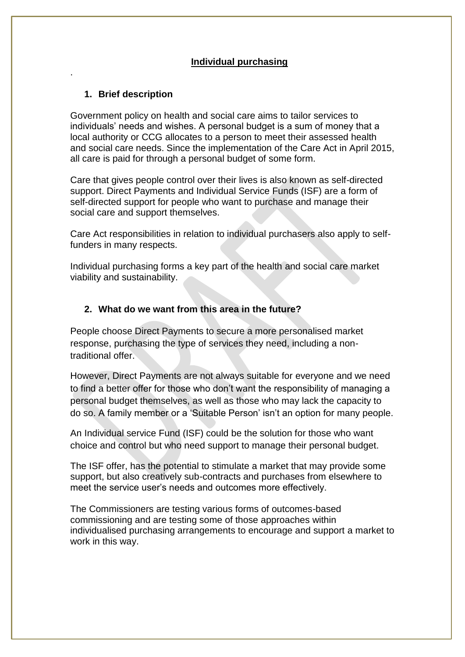# **Individual purchasing**

# **1. Brief description**

.

Government policy on health and social care aims to tailor services to individuals' needs and wishes. A personal budget is a sum of money that a local authority or CCG allocates to a person to meet their assessed health and social care needs. Since the implementation of the Care Act in April 2015, all care is paid for through a personal budget of some form.

Care that gives people control over their lives is also known as self-directed support. Direct Payments and Individual Service Funds (ISF) are a form of self-directed support for people who want to purchase and manage their social care and support themselves.

Care Act responsibilities in relation to individual purchasers also apply to selffunders in many respects.

Individual purchasing forms a key part of the health and social care market viability and sustainability.

## **2. What do we want from this area in the future?**

People choose Direct Payments to secure a more personalised market response, purchasing the type of services they need, including a nontraditional offer.

However, Direct Payments are not always suitable for everyone and we need to find a better offer for those who don't want the responsibility of managing a personal budget themselves, as well as those who may lack the capacity to do so. A family member or a 'Suitable Person' isn't an option for many people.

An Individual service Fund (ISF) could be the solution for those who want choice and control but who need support to manage their personal budget.

The ISF offer, has the potential to stimulate a market that may provide some support, but also creatively sub-contracts and purchases from elsewhere to meet the service user's needs and outcomes more effectively.

The Commissioners are testing various forms of outcomes-based commissioning and are testing some of those approaches within individualised purchasing arrangements to encourage and support a market to work in this way.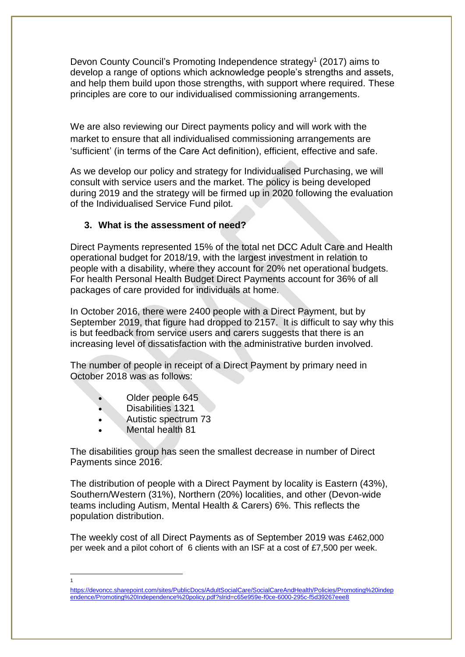Devon County Council's Promoting Independence strategy<sup>1</sup> (2017) aims to develop a range of options which acknowledge people's strengths and assets, and help them build upon those strengths, with support where required. These principles are core to our individualised commissioning arrangements.

We are also reviewing our Direct payments policy and will work with the market to ensure that all individualised commissioning arrangements are 'sufficient' (in terms of the Care Act definition), efficient, effective and safe.

As we develop our policy and strategy for Individualised Purchasing, we will consult with service users and the market. The policy is being developed during 2019 and the strategy will be firmed up in 2020 following the evaluation of the Individualised Service Fund pilot.

### **3. What is the assessment of need?**

Direct Payments represented 15% of the total net DCC Adult Care and Health operational budget for 2018/19, with the largest investment in relation to people with a disability, where they account for 20% net operational budgets. For health Personal Health Budget Direct Payments account for 36% of all packages of care provided for individuals at home.

In October 2016, there were 2400 people with a Direct Payment, but by September 2019, that figure had dropped to 2157. It is difficult to say why this is but feedback from service users and carers suggests that there is an increasing level of dissatisfaction with the administrative burden involved.

The number of people in receipt of a Direct Payment by primary need in October 2018 was as follows:

- Older people 645
- Disabilities 1321
- Autistic spectrum 73
- Mental health 81

-1

The disabilities group has seen the smallest decrease in number of Direct Payments since 2016.

The distribution of people with a Direct Payment by locality is Eastern (43%), Southern/Western (31%), Northern (20%) localities, and other (Devon-wide teams including Autism, Mental Health & Carers) 6%. This reflects the population distribution.

The weekly cost of all Direct Payments as of September 2019 was £462,000 per week and a pilot cohort of 6 clients with an ISF at a cost of £7,500 per week.

[https://devoncc.sharepoint.com/sites/PublicDocs/AdultSocialCare/SocialCareAndHealth/Policies/Promoting%20indep](https://devoncc.sharepoint.com/sites/PublicDocs/AdultSocialCare/SocialCareAndHealth/Policies/Promoting%20independence/Promoting%20Independence%20policy.pdf?slrid=c65e959e-f0ce-6000-295c-f5d39267eee8) [endence/Promoting%20Independence%20policy.pdf?slrid=c65e959e-f0ce-6000-295c-f5d39267eee8](https://devoncc.sharepoint.com/sites/PublicDocs/AdultSocialCare/SocialCareAndHealth/Policies/Promoting%20independence/Promoting%20Independence%20policy.pdf?slrid=c65e959e-f0ce-6000-295c-f5d39267eee8)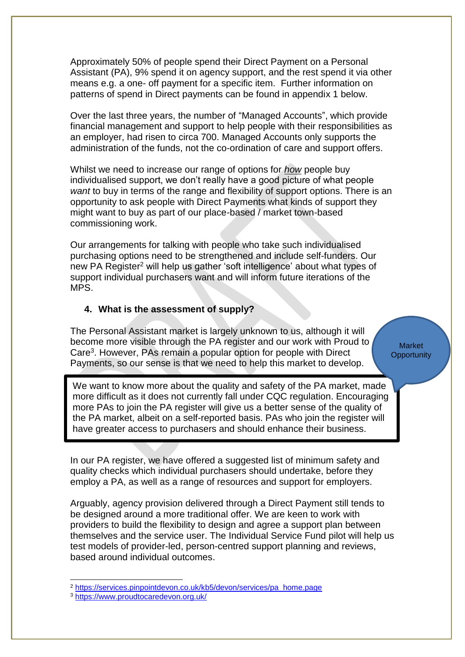Approximately 50% of people spend their Direct Payment on a Personal Assistant (PA), 9% spend it on agency support, and the rest spend it via other means e.g. a one- off payment for a specific item. Further information on patterns of spend in Direct payments can be found in appendix 1 below.

Over the last three years, the number of "Managed Accounts", which provide financial management and support to help people with their responsibilities as an employer, had risen to circa 700. Managed Accounts only supports the administration of the funds, not the co-ordination of care and support offers.

Whilst we need to increase our range of options for *how* people buy individualised support, we don't really have a good picture of what people *want* to buy in terms of the range and flexibility of support options. There is an opportunity to ask people with Direct Payments what kinds of support they might want to buy as part of our place-based / market town-based commissioning work.

Our arrangements for talking with people who take such individualised purchasing options need to be strengthened and include self-funders. Our new PA Register<sup>2</sup> will help us gather 'soft intelligence' about what types of support individual purchasers want and will inform future iterations of the MPS.

### **4. What is the assessment of supply?**

The Personal Assistant market is largely unknown to us, although it will become more visible through the PA register and our work with Proud to Care<sup>3</sup> . However, PAs remain a popular option for people with Direct Payments, so our sense is that we need to help this market to develop.

We want to know more about the quality and safety of the PA market, made more difficult as it does not currently fall under CQC regulation. Encouraging more PAs to join the PA register will give us a better sense of the quality of the PA market, albeit on a self-reported basis. PAs who join the register will have greater access to purchasers and should enhance their business.

In our PA register, we have offered a suggested list of minimum safety and quality checks which individual purchasers should undertake, before they employ a PA, as well as a range of resources and support for employers.

Arguably, agency provision delivered through a Direct Payment still tends to be designed around a more traditional offer. We are keen to work with providers to build the flexibility to design and agree a support plan between themselves and the service user. The Individual Service Fund pilot will help us test models of provider-led, person-centred support planning and reviews, based around individual outcomes.

-

Market **Opportunity** 

<sup>2</sup> [https://services.pinpointdevon.co.uk/kb5/devon/services/pa\\_home.page](https://services.pinpointdevon.co.uk/kb5/devon/services/pa_home.page)

<sup>3</sup> <https://www.proudtocaredevon.org.uk/>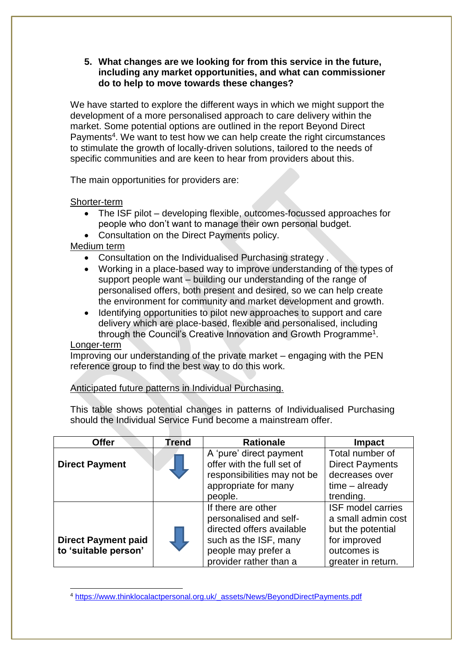## **5. What changes are we looking for from this service in the future, including any market opportunities, and what can commissioner do to help to move towards these changes?**

We have started to explore the different ways in which we might support the development of a more personalised approach to care delivery within the market. Some potential options are outlined in the report Beyond Direct Payments<sup>4</sup>. We want to test how we can help create the right circumstances to stimulate the growth of locally-driven solutions, tailored to the needs of specific communities and are keen to hear from providers about this.

The main opportunities for providers are:

Shorter-term

- The ISF pilot developing flexible, outcomes-focussed approaches for people who don't want to manage their own personal budget.
- Consultation on the Direct Payments policy.

Medium term

- Consultation on the Individualised Purchasing strategy .
- Working in a place-based way to improve understanding of the types of support people want – building our understanding of the range of personalised offers, both present and desired, so we can help create the environment for community and market development and growth.
- Identifying opportunities to pilot new approaches to support and care delivery which are place-based, flexible and personalised, including through the Council's Creative Innovation and Growth Programme<sup>1</sup>.

### Longer-term

Improving our understanding of the private market – engaging with the PEN reference group to find the best way to do this work.

Anticipated future patterns in Individual Purchasing.

This table shows potential changes in patterns of Individualised Purchasing should the Individual Service Fund become a mainstream offer.

| <b>Offer</b>                                       | <b>Trend</b> | <b>Rationale</b>                                                                                                                                    | <b>Impact</b>                                                                                                            |
|----------------------------------------------------|--------------|-----------------------------------------------------------------------------------------------------------------------------------------------------|--------------------------------------------------------------------------------------------------------------------------|
| <b>Direct Payment</b>                              |              | A 'pure' direct payment<br>offer with the full set of                                                                                               | Total number of<br><b>Direct Payments</b><br>decreases over                                                              |
|                                                    |              | responsibilities may not be<br>appropriate for many<br>people.                                                                                      | $time - already$<br>trending.                                                                                            |
| <b>Direct Payment paid</b><br>to 'suitable person' |              | If there are other<br>personalised and self-<br>directed offers available<br>such as the ISF, many<br>people may prefer a<br>provider rather than a | <b>ISF model carries</b><br>a small admin cost<br>but the potential<br>for improved<br>outcomes is<br>greater in return. |

<sup>-</sup><sup>4</sup> [https://www.thinklocalactpersonal.org.uk/\\_assets/News/BeyondDirectPayments.pdf](https://www.thinklocalactpersonal.org.uk/_assets/News/BeyondDirectPayments.pdf)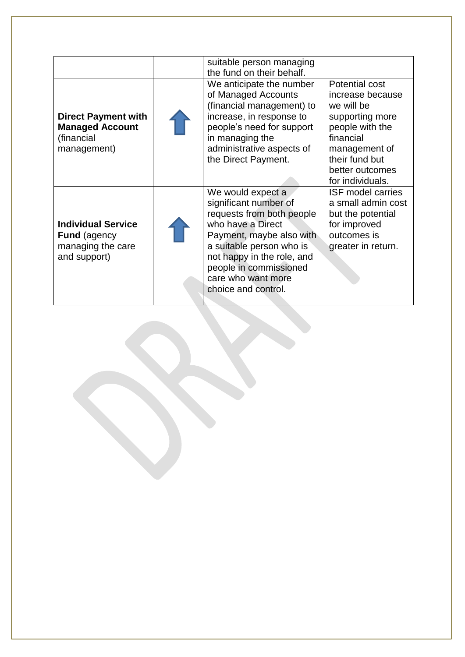|                                                                                       | suitable person managing<br>the fund on their behalf.                                                                                                                                                                                                     |                                                                                                                                                                               |
|---------------------------------------------------------------------------------------|-----------------------------------------------------------------------------------------------------------------------------------------------------------------------------------------------------------------------------------------------------------|-------------------------------------------------------------------------------------------------------------------------------------------------------------------------------|
| <b>Direct Payment with</b><br><b>Managed Account</b><br>(financial<br>management)     | We anticipate the number<br>of Managed Accounts<br>(financial management) to<br>increase, in response to<br>people's need for support<br>in managing the<br>administrative aspects of<br>the Direct Payment.                                              | Potential cost<br>increase because<br>we will be<br>supporting more<br>people with the<br>financial<br>management of<br>their fund but<br>better outcomes<br>for individuals. |
| <b>Individual Service</b><br><b>Fund</b> (agency<br>managing the care<br>and support) | We would expect a<br>significant number of<br>requests from both people<br>who have a Direct<br>Payment, maybe also with<br>a suitable person who is<br>not happy in the role, and<br>people in commissioned<br>care who want more<br>choice and control. | <b>ISF model carries</b><br>a small admin cost<br>but the potential<br>for improved<br>outcomes is<br>greater in return.                                                      |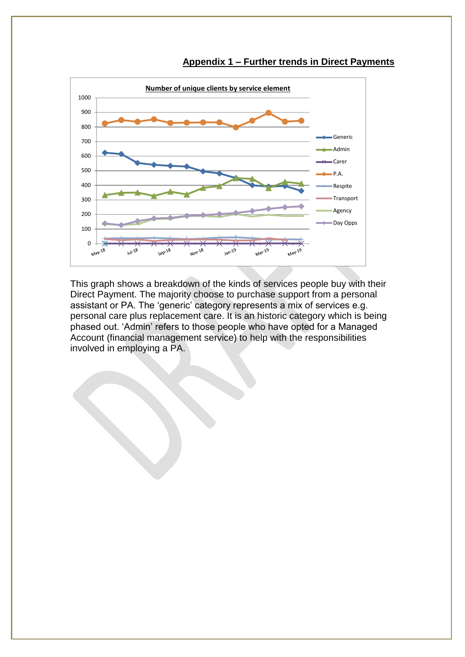

#### **Appendix 1 – Further trends in Direct Payments**

This graph shows a breakdown of the kinds of services people buy with their Direct Payment. The majority choose to purchase support from a personal assistant or PA. The 'generic' category represents a mix of services e.g. personal care plus replacement care. It is an historic category which is being phased out. 'Admin' refers to those people who have opted for a Managed Account (financial management service) to help with the responsibilities involved in employing a PA.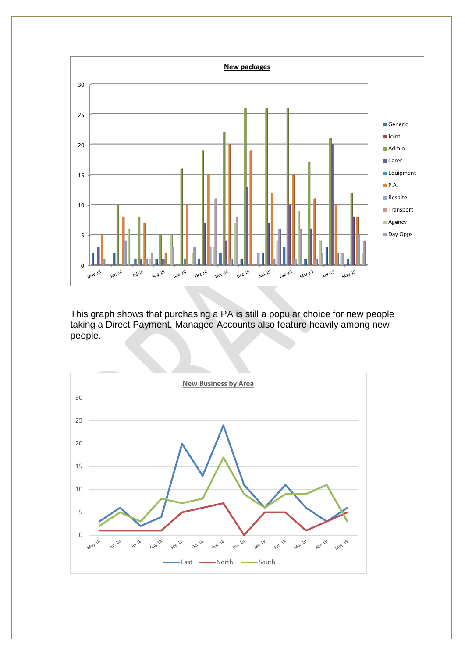

This graph shows that purchasing a PA is still a popular choice for new people taking a Direct Payment. Managed Accounts also feature heavily among new people.